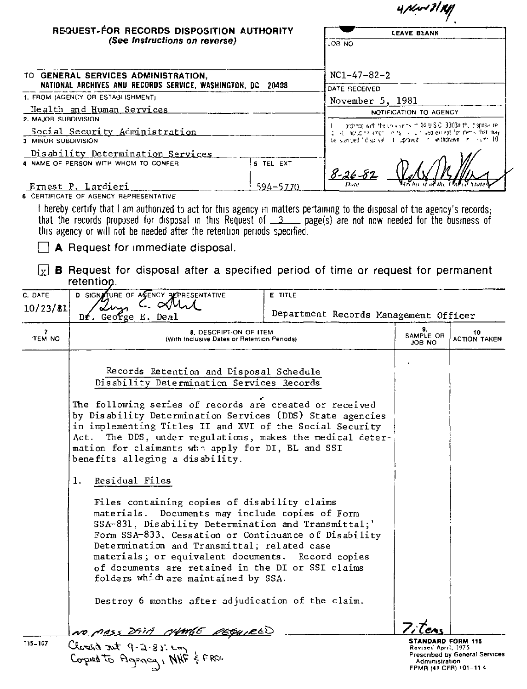|                      |                                                                                                                                                                                                                                                                                                                                               |                |                                                                                                                                      | $4$ Nv $31$ K                                                    |                           |  |
|----------------------|-----------------------------------------------------------------------------------------------------------------------------------------------------------------------------------------------------------------------------------------------------------------------------------------------------------------------------------------------|----------------|--------------------------------------------------------------------------------------------------------------------------------------|------------------------------------------------------------------|---------------------------|--|
|                      | REQUEST-FOR RECORDS DISPOSITION AUTHORITY<br>(See Instructions on reverse)                                                                                                                                                                                                                                                                    |                | <b>LEAVE BLANK</b>                                                                                                                   |                                                                  |                           |  |
|                      |                                                                                                                                                                                                                                                                                                                                               |                | JOB NO                                                                                                                               |                                                                  |                           |  |
|                      | TO GENERAL SERVICES ADMINISTRATION,                                                                                                                                                                                                                                                                                                           |                | $NC1-47-82-2$                                                                                                                        |                                                                  |                           |  |
|                      | NATIONAL ARCHIVES AND RECORDS SERVICE, WASHINGTON, DC 20408                                                                                                                                                                                                                                                                                   |                | DATE RECEIVED                                                                                                                        |                                                                  |                           |  |
|                      | 1. FROM (AGENCY OR ESTABLISHMENT)                                                                                                                                                                                                                                                                                                             |                | November 5, 1981                                                                                                                     |                                                                  |                           |  |
|                      | Health and Human Services                                                                                                                                                                                                                                                                                                                     |                | NOTIFICATION TO AGENCY                                                                                                               |                                                                  |                           |  |
| 2. MAJOR SUBDIVISION |                                                                                                                                                                                                                                                                                                                                               |                |                                                                                                                                      | protence with the univisities of 14 U.S.C. 3303a thu disposalite |                           |  |
|                      | Social Security Administration<br>3 MINOR SUBDIVISION                                                                                                                                                                                                                                                                                         |                | onlight induction ament i.e. fs. is in the except for thems. that may<br>be stamped "displisal" it uproved in withdrawn in inuminity |                                                                  |                           |  |
|                      | Disability Determination Services<br>4 NAME OF PERSON WITH WHOM TO CONFER                                                                                                                                                                                                                                                                     | 5 TEL EXT      | <u>8-26-81</u>                                                                                                                       |                                                                  |                           |  |
|                      | Ernest P. Lardieri                                                                                                                                                                                                                                                                                                                            | 594-5770       |                                                                                                                                      |                                                                  |                           |  |
|                      | 6 CERTIFICATE OF AGENCY REPRESENTATIVE                                                                                                                                                                                                                                                                                                        |                |                                                                                                                                      |                                                                  |                           |  |
|                      | that the records proposed for disposal in this Request of $3 \qquad$ page(s) are not now needed for the business of<br>this agency or will not be needed after the retention periods specified.<br>A Request for immediate disposal.<br><b>B</b> Request for disposal after a specified period of time or request for permanent<br>retention. |                |                                                                                                                                      |                                                                  |                           |  |
| C. DATE              | D SIGNATURE OF AGENCY PEPRESENTATIVE                                                                                                                                                                                                                                                                                                          | <b>E</b> TITLE |                                                                                                                                      |                                                                  |                           |  |
| 10/23/81             | C. QNM<br>$Df.$ George E. Deal                                                                                                                                                                                                                                                                                                                |                | Department Records Management Officer                                                                                                |                                                                  |                           |  |
|                      | <b>8. DESCRIPTION OF ITEM</b><br><b>ITEM NO</b><br>(With Inclusive Dates or Retention Periods)                                                                                                                                                                                                                                                |                |                                                                                                                                      |                                                                  | 10<br><b>ACTION TAKEN</b> |  |
|                      |                                                                                                                                                                                                                                                                                                                                               |                |                                                                                                                                      | <b>JOB NO</b>                                                    |                           |  |

 $1.$ Residual Files

> Files containing copies of disability claims materials. Documents may include copies of Form SSA-831, Disability Determination and Transmittal;' Form SSA-833, Cessation or Continuance of Disability Determination and Transmittal; related case materials; or equivalent documents. Record copies of documents are retained in the DI or SSI claims folders which are maintained by SSA.

Destroy 6 months after adjudication of the claim.

NO MASS DATA CHANGE REQUIRED

STANDARD FORM 115 Revised April, 1975 Prescribed by General Services Administration<br>FPMR (41 CFR) 101-11 4

Leas

Closed not 9-2.85 cm 115-107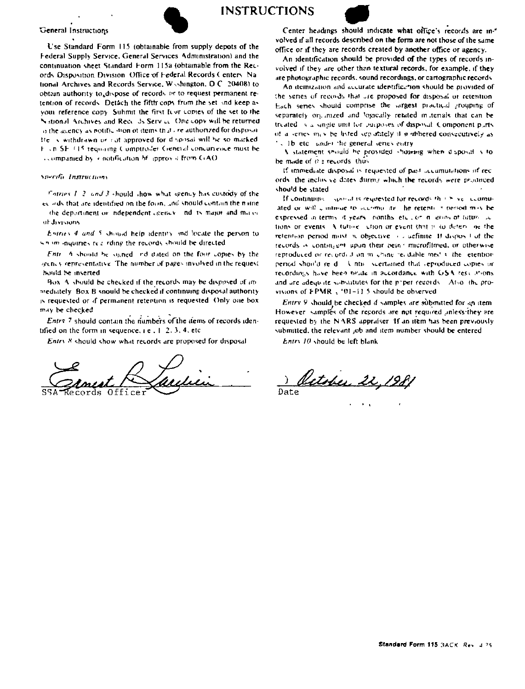

General Instructions

Use Standard Form 115 (obtainable from supply depots of the Federal Supply Service, General Services Administration) and the continuation sheet Standard Form 115a (obtainable from the Records Disposition Division. Office of Federal Records Centers. National Archives and Records Service, Wishington, D.C. 20408) to obtain authority to dispose of records or to request permanent retention of records. Detach the fifth cops from the set and keep as your reference copy. Suhmit the first feur comes of the set to the National Archives and Records Service. One copy will be returned o the agency as notific ston of items that are authorized for disposal He is withdrawn or cut approved for disposal will be so marked F. en SF (15 requiring Comptroller General concurrence must be companied by a notification of approval from C(AO)

## Specific Instructions

Formes 1-2, and 3 should show what spency has custody of the ecoeds that are identified on the fourn, and should contain the name the department or independent agency. Ind is major and major al divisions

Entries 4 and 5 should help identity and locate the person to wh im inquiries real rding the records should be directed

Entry 6 should be signed and dated on the four copies by the gency representative. The number of pages involved in the request hould be inserted

Box. A should be checked if the records may be disposed of immediately. Box B snould be checked if continuing disposal authority is requested or if permanent retention is requested. Only one box may be checked

Entry 7 should contain the numbers of the items of records identified on the form in sequence,  $i \in 1, 2, 3, 4$ , etc.

Entry 8 should show what records are proposed for disposal

Office

Center headings should indicate what office's records are involved if all records described on the form are not those of the same office or if they are records created by another office or agency.

An identification should be provided of the types of records involved if they are other than textural records, for example, if they are photographic records, sound recordings, or cartographic records

An itemization and accurate identification should be provided of the series of records that are proposed for disposal or retention. Each series should comprise the largest practical grouping of separately organized and logically retated materials that can be treated is a single unit for purposes of disposal. Component purts of a series may be listed separately if nonbered consecutively as . 1b etc. under the general series entry

A statement should be provided showing when disposit is to be made of it's records, thus

If immediate disposal is requested of past accumulations of records, the inclusive dates during which the records were produced should be stated

If continuing spand is requested for records that have acumuated or will continue to scorima its. he retention period may be expressed in terms of years, nonths etc., or in grow of tutum is tions or events. A tuttive, ution or event that is to determ he the retention period must wobjective is definite. If disposed of the records is contingent upon their bein microfilmed, or otherwise reproduced or recorded on michine recoable med vi the letention period should re-d. Until scertained that reproduced copies or recordings have been neate in accordance with GSA rescursons and are adequate substitutes for the priper records. Also, the provisions of FPMR<sub>3</sub> '01-11.5 should be observed

Entry 9 should be checked if samples are submitted for an item However, samples of the records are not required inless they are requested by the NARS appraiser. If an item has been previously submitted, the relevant job and item number should be entered

Entry 10 should be left blank

<u>October 22</u>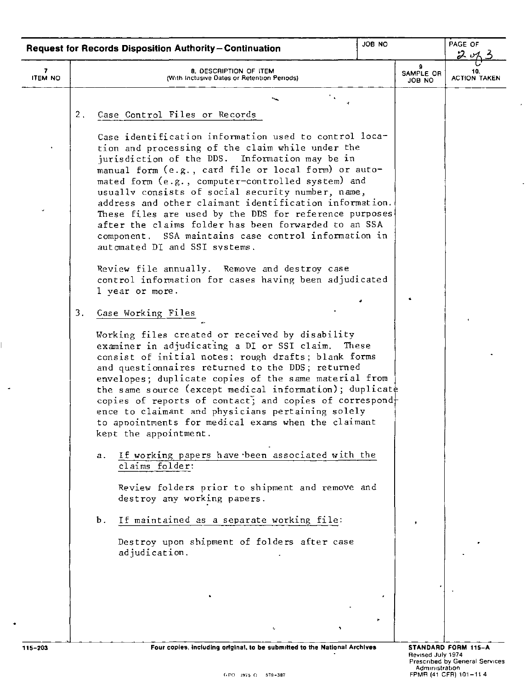|                     | JOB NO<br><b>Request for Records Disposition Authority-Continuation</b>                                                                                                                                                                                                                                                                                                                                                                                                                                                                                                                                                                                                                                                                                                                                                                                                                                                                                                                                                                                                                                                                                                                                                                                                                                                                                  |                          | PAGE OF<br>2,       |
|---------------------|----------------------------------------------------------------------------------------------------------------------------------------------------------------------------------------------------------------------------------------------------------------------------------------------------------------------------------------------------------------------------------------------------------------------------------------------------------------------------------------------------------------------------------------------------------------------------------------------------------------------------------------------------------------------------------------------------------------------------------------------------------------------------------------------------------------------------------------------------------------------------------------------------------------------------------------------------------------------------------------------------------------------------------------------------------------------------------------------------------------------------------------------------------------------------------------------------------------------------------------------------------------------------------------------------------------------------------------------------------|--------------------------|---------------------|
| 7<br><b>ITEM NO</b> | 8. DESCRIPTION OF ITEM<br>(With Inclusive Dates or Retention Periods)                                                                                                                                                                                                                                                                                                                                                                                                                                                                                                                                                                                                                                                                                                                                                                                                                                                                                                                                                                                                                                                                                                                                                                                                                                                                                    | 9<br>SAMPLE OR<br>JOB NO | <b>ACTION TAKEN</b> |
|                     | 2 <sub>1</sub><br>Case Control Files or Records<br>Case identification information used to control loca-<br>tion and processing of the claim while under the<br>jurisdiction of the DDS. Information may be in<br>manual form (e.g., card file or local form) or auto-<br>mated form (e.g., computer-controlled system) and<br>usually consists of social security number, name,<br>address and other claimant identification information.<br>These files are used by the DDS for reference purposes<br>after the claims folder has been forwarded to an SSA<br>component. SSA maintains case control information in<br>automated DI and SSI systems.<br>Review file annually. Remove and destroy case<br>control information for cases having been adjudicated<br>1 year or more.<br>3.<br>Case Working Files<br>Working files created or received by disability<br>examiner in adjudicating a DI or SSI claim.<br>These<br>consist of initial notes; rough drafts; blank forms<br>and questionnaires returned to the DDS; returned<br>envelopes; duplicate copies of the same material from<br>the same source (except medical information); duplicate<br>copies of reports of contact; and copies of correspond+<br>ence to claimant and physicians pertaining solely<br>to appointments for medical exams when the claimant<br>kept the appointment. |                          |                     |
|                     | If working papers have been associated with the<br>а.<br>claims folder:<br>Review folders prior to shipment and remove and<br>destroy any working papers.<br>If maintained as a separate working file:<br>Ъ.<br>Destroy upon shipment of folders after case<br>adjudication.<br>t,                                                                                                                                                                                                                                                                                                                                                                                                                                                                                                                                                                                                                                                                                                                                                                                                                                                                                                                                                                                                                                                                       | $\mathbf{r}$             |                     |
| $115 - 203$         | Four copies, including original, to be submitted to the National Archives                                                                                                                                                                                                                                                                                                                                                                                                                                                                                                                                                                                                                                                                                                                                                                                                                                                                                                                                                                                                                                                                                                                                                                                                                                                                                | anuend July 1074         | STANDARD FORM 115-A |

 $\mathbf{L}$ 

 $\overline{\phantom{a}}$ 

÷,